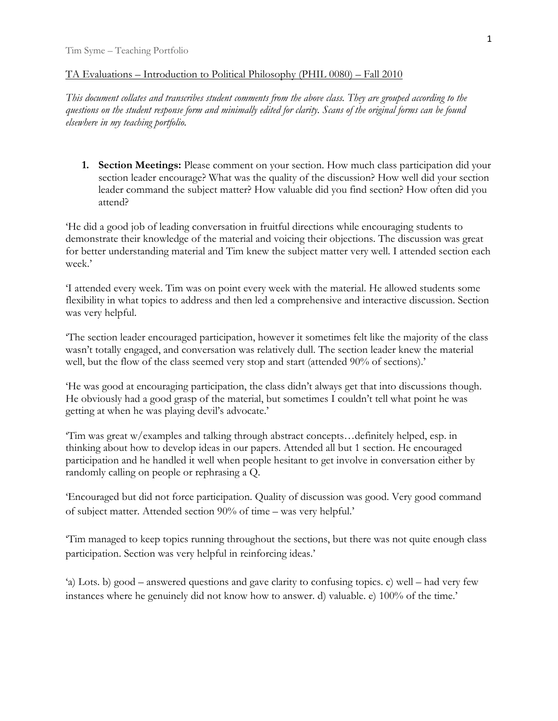## TA Evaluations – Introduction to Political Philosophy (PHIL 0080) – Fall 2010

*This document collates and transcribes student comments from the above class. They are grouped according to the questions on the student response form and minimally edited for clarity. Scans of the original forms can be found elsewhere in my teaching portfolio.* 

**1. Section Meetings:** Please comment on your section. How much class participation did your section leader encourage? What was the quality of the discussion? How well did your section leader command the subject matter? How valuable did you find section? How often did you attend?

'He did a good job of leading conversation in fruitful directions while encouraging students to demonstrate their knowledge of the material and voicing their objections. The discussion was great for better understanding material and Tim knew the subject matter very well. I attended section each week.'

'I attended every week. Tim was on point every week with the material. He allowed students some flexibility in what topics to address and then led a comprehensive and interactive discussion. Section was very helpful.

'The section leader encouraged participation, however it sometimes felt like the majority of the class wasn't totally engaged, and conversation was relatively dull. The section leader knew the material well, but the flow of the class seemed very stop and start (attended 90% of sections).'

'He was good at encouraging participation, the class didn't always get that into discussions though. He obviously had a good grasp of the material, but sometimes I couldn't tell what point he was getting at when he was playing devil's advocate.'

'Tim was great w/examples and talking through abstract concepts…definitely helped, esp. in thinking about how to develop ideas in our papers. Attended all but 1 section. He encouraged participation and he handled it well when people hesitant to get involve in conversation either by randomly calling on people or rephrasing a Q.

'Encouraged but did not force participation. Quality of discussion was good. Very good command of subject matter. Attended section 90% of time – was very helpful.'

'Tim managed to keep topics running throughout the sections, but there was not quite enough class participation. Section was very helpful in reinforcing ideas.'

'a) Lots. b) good – answered questions and gave clarity to confusing topics. c) well – had very few instances where he genuinely did not know how to answer. d) valuable. e) 100% of the time.'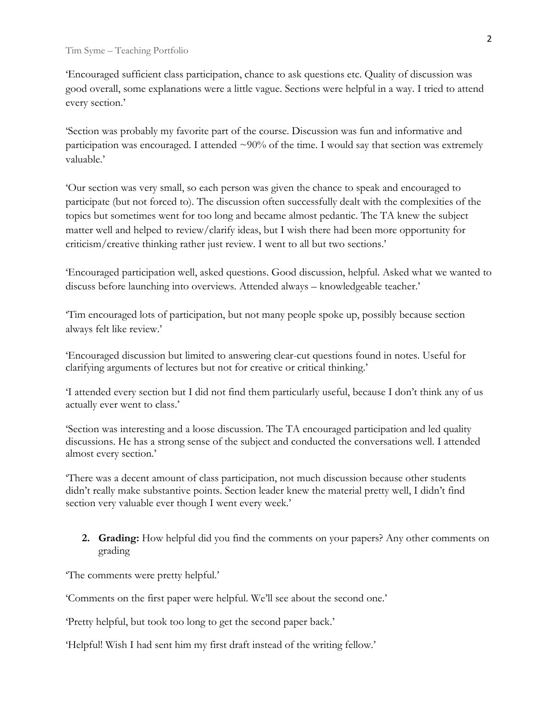'Encouraged sufficient class participation, chance to ask questions etc. Quality of discussion was good overall, some explanations were a little vague. Sections were helpful in a way. I tried to attend every section.'

'Section was probably my favorite part of the course. Discussion was fun and informative and participation was encouraged. I attended  $\sim$ 90% of the time. I would say that section was extremely valuable.'

'Our section was very small, so each person was given the chance to speak and encouraged to participate (but not forced to). The discussion often successfully dealt with the complexities of the topics but sometimes went for too long and became almost pedantic. The TA knew the subject matter well and helped to review/clarify ideas, but I wish there had been more opportunity for criticism/creative thinking rather just review. I went to all but two sections.'

'Encouraged participation well, asked questions. Good discussion, helpful. Asked what we wanted to discuss before launching into overviews. Attended always – knowledgeable teacher.'

'Tim encouraged lots of participation, but not many people spoke up, possibly because section always felt like review.'

'Encouraged discussion but limited to answering clear-cut questions found in notes. Useful for clarifying arguments of lectures but not for creative or critical thinking.'

'I attended every section but I did not find them particularly useful, because I don't think any of us actually ever went to class.'

'Section was interesting and a loose discussion. The TA encouraged participation and led quality discussions. He has a strong sense of the subject and conducted the conversations well. I attended almost every section.'

'There was a decent amount of class participation, not much discussion because other students didn't really make substantive points. Section leader knew the material pretty well, I didn't find section very valuable ever though I went every week.'

**2. Grading:** How helpful did you find the comments on your papers? Any other comments on grading

'The comments were pretty helpful.'

'Comments on the first paper were helpful. We'll see about the second one.'

'Pretty helpful, but took too long to get the second paper back.'

'Helpful! Wish I had sent him my first draft instead of the writing fellow.'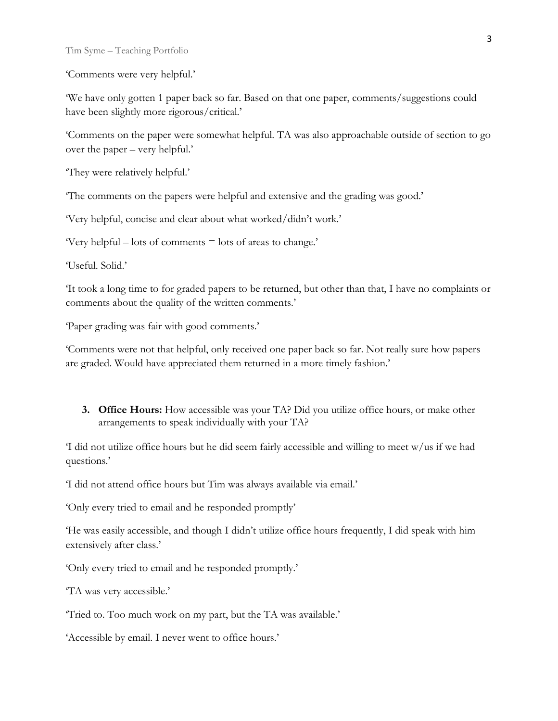'Comments were very helpful.'

'We have only gotten 1 paper back so far. Based on that one paper, comments/suggestions could have been slightly more rigorous/critical.'

'Comments on the paper were somewhat helpful. TA was also approachable outside of section to go over the paper – very helpful.'

'They were relatively helpful.'

'The comments on the papers were helpful and extensive and the grading was good.'

'Very helpful, concise and clear about what worked/didn't work.'

'Very helpful – lots of comments = lots of areas to change.'

'Useful. Solid.'

'It took a long time to for graded papers to be returned, but other than that, I have no complaints or comments about the quality of the written comments.'

'Paper grading was fair with good comments.'

'Comments were not that helpful, only received one paper back so far. Not really sure how papers are graded. Would have appreciated them returned in a more timely fashion.'

**3. Office Hours:** How accessible was your TA? Did you utilize office hours, or make other arrangements to speak individually with your TA?

'I did not utilize office hours but he did seem fairly accessible and willing to meet w/us if we had questions.'

'I did not attend office hours but Tim was always available via email.'

'Only every tried to email and he responded promptly'

'He was easily accessible, and though I didn't utilize office hours frequently, I did speak with him extensively after class.'

'Only every tried to email and he responded promptly.'

'TA was very accessible.'

'Tried to. Too much work on my part, but the TA was available.'

'Accessible by email. I never went to office hours.'